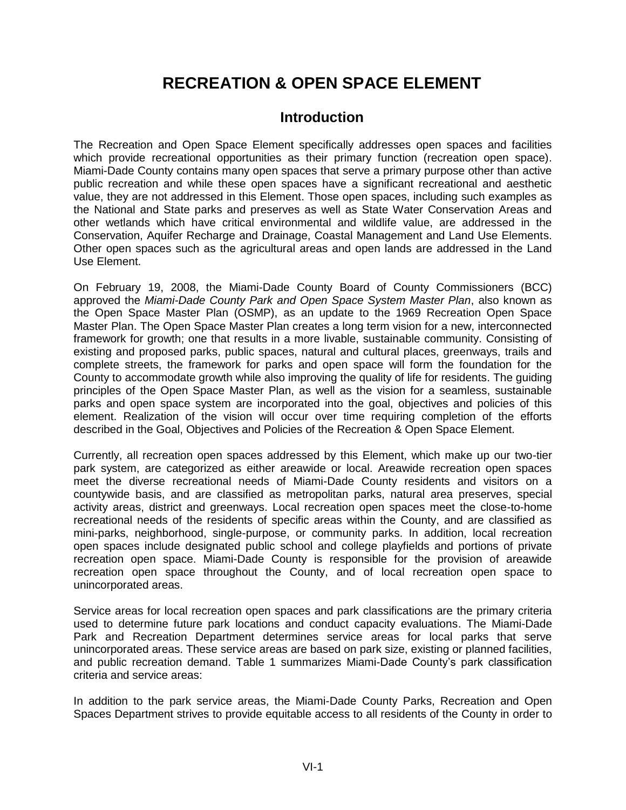# **RECREATION & OPEN SPACE ELEMENT**

# **Introduction**

The Recreation and Open Space Element specifically addresses open spaces and facilities which provide recreational opportunities as their primary function (recreation open space). Miami-Dade County contains many open spaces that serve a primary purpose other than active public recreation and while these open spaces have a significant recreational and aesthetic value, they are not addressed in this Element. Those open spaces, including such examples as the National and State parks and preserves as well as State Water Conservation Areas and other wetlands which have critical environmental and wildlife value, are addressed in the Conservation, Aquifer Recharge and Drainage, Coastal Management and Land Use Elements. Other open spaces such as the agricultural areas and open lands are addressed in the Land Use Element.

On February 19, 2008, the Miami-Dade County Board of County Commissioners (BCC) approved the *Miami-Dade County Park and Open Space System Master Plan*, also known as the Open Space Master Plan (OSMP), as an update to the 1969 Recreation Open Space Master Plan. The Open Space Master Plan creates a long term vision for a new, interconnected framework for growth; one that results in a more livable, sustainable community. Consisting of existing and proposed parks, public spaces, natural and cultural places, greenways, trails and complete streets, the framework for parks and open space will form the foundation for the County to accommodate growth while also improving the quality of life for residents. The guiding principles of the Open Space Master Plan, as well as the vision for a seamless, sustainable parks and open space system are incorporated into the goal, objectives and policies of this element. Realization of the vision will occur over time requiring completion of the efforts described in the Goal, Objectives and Policies of the Recreation & Open Space Element.

Currently, all recreation open spaces addressed by this Element, which make up our two-tier park system, are categorized as either areawide or local. Areawide recreation open spaces meet the diverse recreational needs of Miami-Dade County residents and visitors on a countywide basis, and are classified as metropolitan parks, natural area preserves, special activity areas, district and greenways. Local recreation open spaces meet the close-to-home recreational needs of the residents of specific areas within the County, and are classified as mini-parks, neighborhood, single-purpose, or community parks. In addition, local recreation open spaces include designated public school and college playfields and portions of private recreation open space. Miami-Dade County is responsible for the provision of areawide recreation open space throughout the County, and of local recreation open space to unincorporated areas.

Service areas for local recreation open spaces and park classifications are the primary criteria used to determine future park locations and conduct capacity evaluations. The Miami-Dade Park and Recreation Department determines service areas for local parks that serve unincorporated areas. These service areas are based on park size, existing or planned facilities, and public recreation demand. Table 1 summarizes Miami-Dade County's park classification criteria and service areas:

In addition to the park service areas, the Miami-Dade County Parks, Recreation and Open Spaces Department strives to provide equitable access to all residents of the County in order to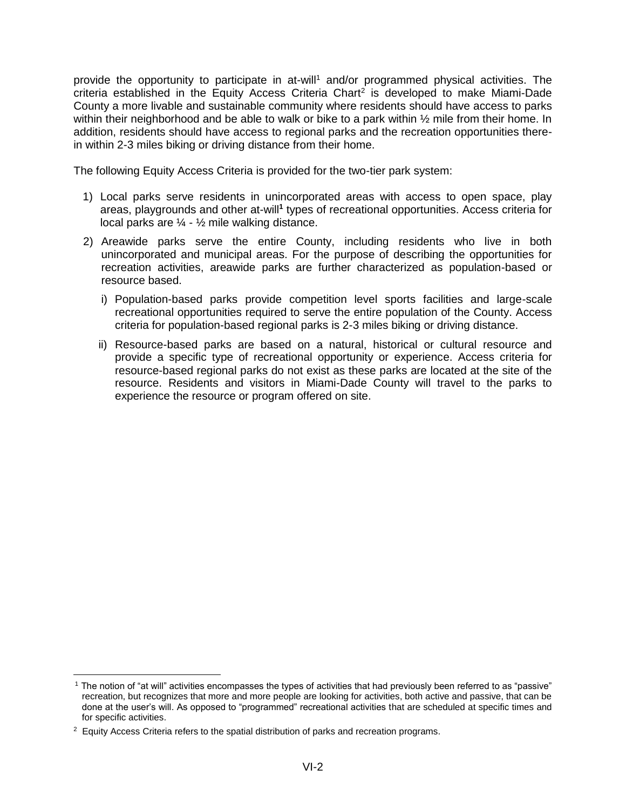provide the opportunity to participate in at-will<sup>1</sup> and/or programmed physical activities. The criteria established in the Equity Access Criteria Chart<sup>2</sup> is developed to make Miami-Dade County a more livable and sustainable community where residents should have access to parks within their neighborhood and be able to walk or bike to a park within  $\frac{1}{2}$  mile from their home. In addition, residents should have access to regional parks and the recreation opportunities therein within 2-3 miles biking or driving distance from their home.

The following Equity Access Criteria is provided for the two-tier park system:

- 1) Local parks serve residents in unincorporated areas with access to open space, play areas, playgrounds and other at-will**<sup>1</sup>** types of recreational opportunities. Access criteria for local parks are ¼ - ½ mile walking distance.
- 2) Areawide parks serve the entire County, including residents who live in both unincorporated and municipal areas. For the purpose of describing the opportunities for recreation activities, areawide parks are further characterized as population-based or resource based.
	- i) Population-based parks provide competition level sports facilities and large-scale recreational opportunities required to serve the entire population of the County. Access criteria for population-based regional parks is 2-3 miles biking or driving distance.
	- ii) Resource-based parks are based on a natural, historical or cultural resource and provide a specific type of recreational opportunity or experience. Access criteria for resource-based regional parks do not exist as these parks are located at the site of the resource. Residents and visitors in Miami-Dade County will travel to the parks to experience the resource or program offered on site.

<sup>1</sup> The notion of "at will" activities encompasses the types of activities that had previously been referred to as "passive" recreation, but recognizes that more and more people are looking for activities, both active and passive, that can be done at the user's will. As opposed to "programmed" recreational activities that are scheduled at specific times and for specific activities.

<sup>&</sup>lt;sup>2</sup> Equity Access Criteria refers to the spatial distribution of parks and recreation programs.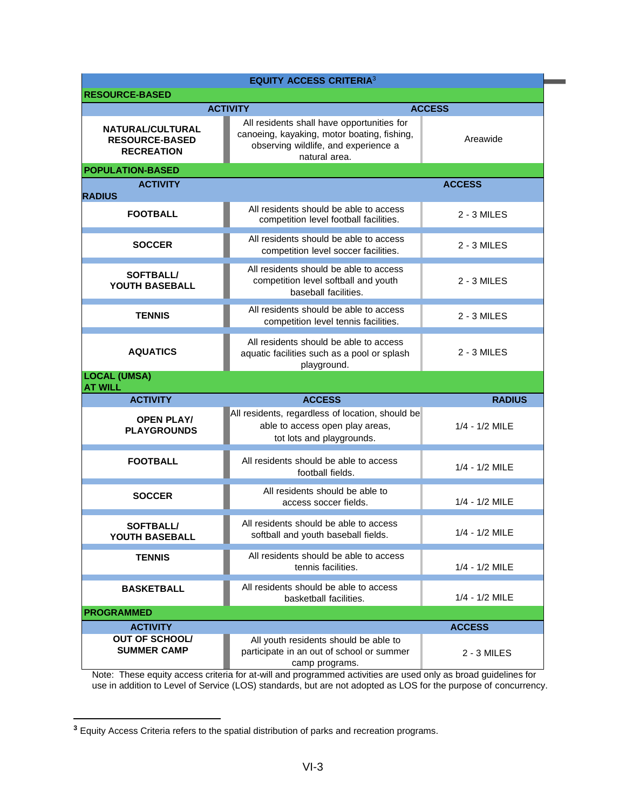| <b>EQUITY ACCESS CRITERIA3</b>                                 |                                                                                                                                                    |                |  |  |  |  |  |
|----------------------------------------------------------------|----------------------------------------------------------------------------------------------------------------------------------------------------|----------------|--|--|--|--|--|
| <b>RESOURCE-BASED</b>                                          |                                                                                                                                                    |                |  |  |  |  |  |
| <b>ACTIVITY</b><br><b>ACCESS</b>                               |                                                                                                                                                    |                |  |  |  |  |  |
| NATURAL/CULTURAL<br><b>RESOURCE-BASED</b><br><b>RECREATION</b> | All residents shall have opportunities for<br>canoeing, kayaking, motor boating, fishing,<br>observing wildlife, and experience a<br>natural area. | Areawide       |  |  |  |  |  |
| <b>POPULATION-BASED</b>                                        |                                                                                                                                                    |                |  |  |  |  |  |
| <b>ACTIVITY</b><br><b>RADIUS</b>                               |                                                                                                                                                    | <b>ACCESS</b>  |  |  |  |  |  |
| <b>FOOTBALL</b>                                                | All residents should be able to access<br>competition level football facilities.                                                                   | 2 - 3 MILES    |  |  |  |  |  |
| <b>SOCCER</b>                                                  | All residents should be able to access<br>competition level soccer facilities.                                                                     | 2 - 3 MILES    |  |  |  |  |  |
| <b>SOFTBALL/</b><br>YOUTH BASEBALL                             | All residents should be able to access<br>competition level softball and youth<br>baseball facilities.                                             | 2 - 3 MILES    |  |  |  |  |  |
| <b>TENNIS</b>                                                  | All residents should be able to access<br>competition level tennis facilities.                                                                     | 2 - 3 MILES    |  |  |  |  |  |
| <b>AQUATICS</b>                                                | All residents should be able to access<br>aquatic facilities such as a pool or splash<br>playground.                                               | 2 - 3 MILES    |  |  |  |  |  |
| <b>LOCAL (UMSA)</b><br><b>AT WILL</b>                          |                                                                                                                                                    |                |  |  |  |  |  |
| <b>ACTIVITY</b>                                                | <b>ACCESS</b>                                                                                                                                      | <b>RADIUS</b>  |  |  |  |  |  |
| <b>OPEN PLAY/</b><br><b>PLAYGROUNDS</b>                        | All residents, regardless of location, should be<br>able to access open play areas,<br>tot lots and playgrounds.                                   | 1/4 - 1/2 MILE |  |  |  |  |  |
| <b>FOOTBALL</b>                                                | All residents should be able to access<br>football fields.                                                                                         | 1/4 - 1/2 MILE |  |  |  |  |  |
| <b>SOCCER</b>                                                  | All residents should be able to<br>access soccer fields.                                                                                           | 1/4 - 1/2 MILE |  |  |  |  |  |
| <b>SOFTBALL/</b><br>YOUTH BASEBALL                             | All residents should be able to access<br>softball and youth baseball fields.                                                                      | 1/4 - 1/2 MILE |  |  |  |  |  |
| <b>TENNIS</b>                                                  | All residents should be able to access<br>tennis facilities.                                                                                       | 1/4 - 1/2 MILE |  |  |  |  |  |
| <b>BASKETBALL</b>                                              | All residents should be able to access<br>basketball facilities.                                                                                   | 1/4 - 1/2 MILE |  |  |  |  |  |
| <b>PROGRAMMED</b>                                              |                                                                                                                                                    |                |  |  |  |  |  |
| <b>ACTIVITY</b>                                                | <b>ACCESS</b>                                                                                                                                      |                |  |  |  |  |  |
| <b>OUT OF SCHOOL/</b><br><b>SUMMER CAMP</b>                    | All youth residents should be able to<br>participate in an out of school or summer<br>2 - 3 MILES<br>camp programs.                                |                |  |  |  |  |  |

Note: These equity access criteria for at-will and programmed activities are used only as broad guidelines for use in addition to Level of Service (LOS) standards, but are not adopted as LOS for the purpose of concurrency.

**<sup>3</sup>** Equity Access Criteria refers to the spatial distribution of parks and recreation programs.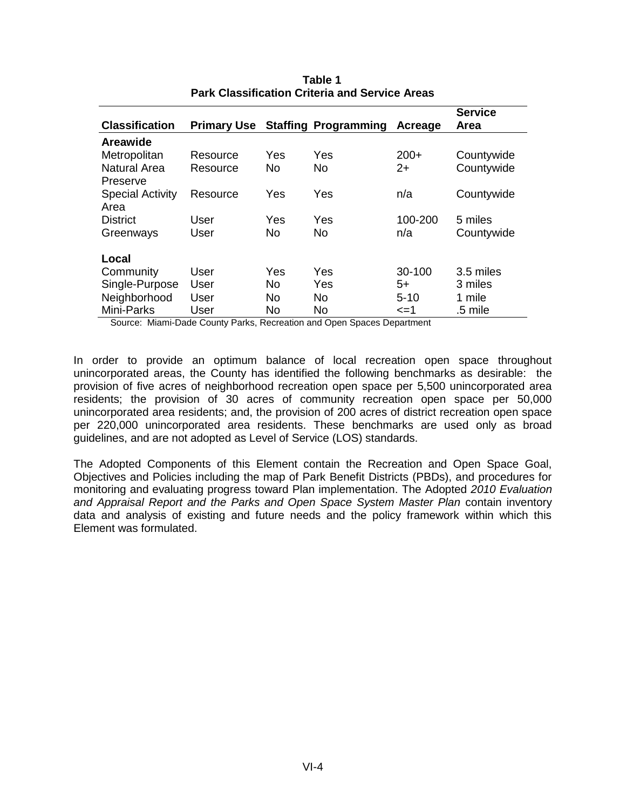|                         |                    |     |                             |          | <b>Service</b> |
|-------------------------|--------------------|-----|-----------------------------|----------|----------------|
| <b>Classification</b>   | <b>Primary Use</b> |     | <b>Staffing Programming</b> | Acreage  | Area           |
| Areawide                |                    |     |                             |          |                |
| Metropolitan            | Resource           | Yes | Yes                         | $200+$   | Countywide     |
| Natural Area            | Resource           | No. | No.                         | $2+$     | Countywide     |
| Preserve                |                    |     |                             |          |                |
| <b>Special Activity</b> | Resource           | Yes | Yes                         | n/a      | Countywide     |
| Area                    |                    |     |                             |          |                |
| <b>District</b>         | User               | Yes | Yes                         | 100-200  | 5 miles        |
| Greenways               | User               | No. | No.                         | n/a      | Countywide     |
|                         |                    |     |                             |          |                |
| Local                   |                    |     |                             |          |                |
| Community               | User               | Yes | Yes                         | 30-100   | 3.5 miles      |
| Single-Purpose          | User               | No. | Yes                         | $5+$     | 3 miles        |
| Neighborhood            | User               | No. | No.                         | $5 - 10$ | 1 mile         |
| Mini-Parks              | User               | No  | No                          | <=1      | .5 mile        |

**Table 1 Park Classification Criteria and Service Areas**

Source: Miami-Dade County Parks, Recreation and Open Spaces Department

In order to provide an optimum balance of local recreation open space throughout unincorporated areas, the County has identified the following benchmarks as desirable: the provision of five acres of neighborhood recreation open space per 5,500 unincorporated area residents; the provision of 30 acres of community recreation open space per 50,000 unincorporated area residents; and, the provision of 200 acres of district recreation open space per 220,000 unincorporated area residents. These benchmarks are used only as broad guidelines, and are not adopted as Level of Service (LOS) standards.

The Adopted Components of this Element contain the Recreation and Open Space Goal, Objectives and Policies including the map of Park Benefit Districts (PBDs), and procedures for monitoring and evaluating progress toward Plan implementation. The Adopted *2010 Evaluation*  and Appraisal Report and the Parks and Open Space System Master Plan contain inventory data and analysis of existing and future needs and the policy framework within which this Element was formulated.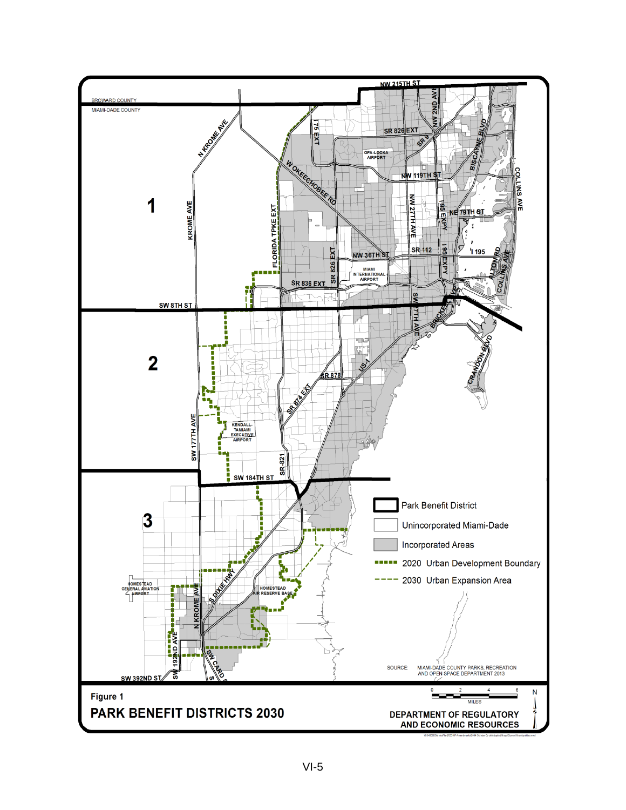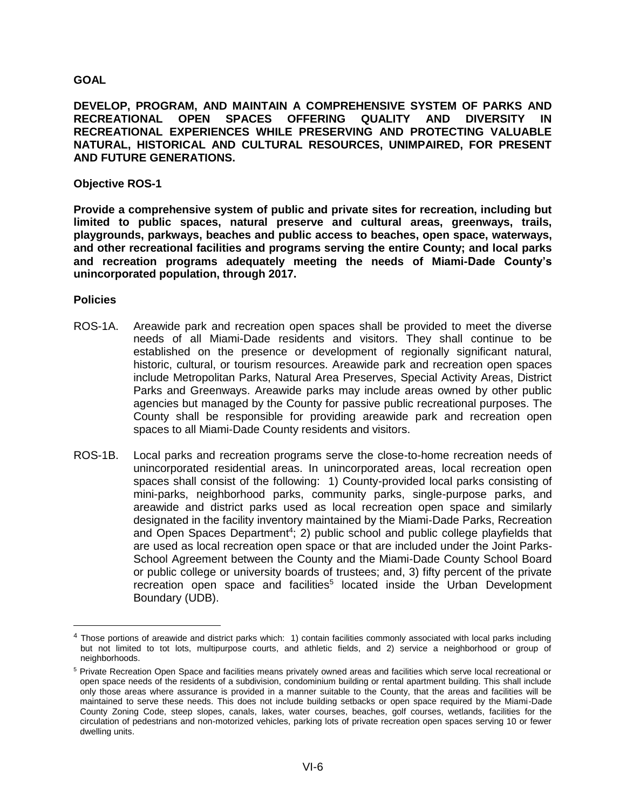## **GOAL**

**DEVELOP, PROGRAM, AND MAINTAIN A COMPREHENSIVE SYSTEM OF PARKS AND RECREATIONAL OPEN SPACES OFFERING QUALITY AND DIVERSITY IN RECREATIONAL EXPERIENCES WHILE PRESERVING AND PROTECTING VALUABLE NATURAL, HISTORICAL AND CULTURAL RESOURCES, UNIMPAIRED, FOR PRESENT AND FUTURE GENERATIONS.**

#### **Objective ROS-1**

**Provide a comprehensive system of public and private sites for recreation, including but limited to public spaces, natural preserve and cultural areas, greenways, trails, playgrounds, parkways, beaches and public access to beaches, open space, waterways, and other recreational facilities and programs serving the entire County; and local parks and recreation programs adequately meeting the needs of Miami-Dade County's unincorporated population, through 2017.**

#### **Policies**

- ROS-1A. Areawide park and recreation open spaces shall be provided to meet the diverse needs of all Miami-Dade residents and visitors. They shall continue to be established on the presence or development of regionally significant natural, historic, cultural, or tourism resources. Areawide park and recreation open spaces include Metropolitan Parks, Natural Area Preserves, Special Activity Areas, District Parks and Greenways. Areawide parks may include areas owned by other public agencies but managed by the County for passive public recreational purposes. The County shall be responsible for providing areawide park and recreation open spaces to all Miami-Dade County residents and visitors.
- ROS-1B. Local parks and recreation programs serve the close-to-home recreation needs of unincorporated residential areas. In unincorporated areas, local recreation open spaces shall consist of the following: 1) County-provided local parks consisting of mini-parks, neighborhood parks, community parks, single-purpose parks, and areawide and district parks used as local recreation open space and similarly designated in the facility inventory maintained by the Miami-Dade Parks, Recreation and Open Spaces Department<sup>4</sup>; 2) public school and public college playfields that are used as local recreation open space or that are included under the Joint Parks-School Agreement between the County and the Miami-Dade County School Board or public college or university boards of trustees; and, 3) fifty percent of the private recreation open space and facilities<sup>5</sup> located inside the Urban Development Boundary (UDB).

 $4$  Those portions of areawide and district parks which: 1) contain facilities commonly associated with local parks including but not limited to tot lots, multipurpose courts, and athletic fields, and 2) service a neighborhood or group of neighborhoods.

<sup>5</sup> Private Recreation Open Space and facilities means privately owned areas and facilities which serve local recreational or open space needs of the residents of a subdivision, condominium building or rental apartment building. This shall include only those areas where assurance is provided in a manner suitable to the County, that the areas and facilities will be maintained to serve these needs. This does not include building setbacks or open space required by the Miami-Dade County Zoning Code, steep slopes, canals, lakes, water courses, beaches, golf courses, wetlands, facilities for the circulation of pedestrians and non-motorized vehicles, parking lots of private recreation open spaces serving 10 or fewer dwelling units.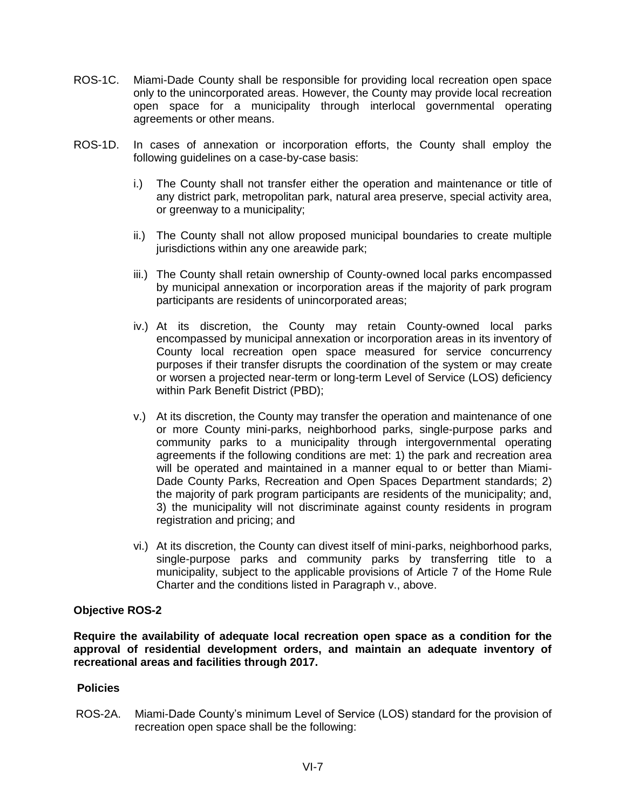- ROS-1C. Miami-Dade County shall be responsible for providing local recreation open space only to the unincorporated areas. However, the County may provide local recreation open space for a municipality through interlocal governmental operating agreements or other means.
- ROS-1D. In cases of annexation or incorporation efforts, the County shall employ the following guidelines on a case-by-case basis:
	- i.) The County shall not transfer either the operation and maintenance or title of any district park, metropolitan park, natural area preserve, special activity area, or greenway to a municipality;
	- ii.) The County shall not allow proposed municipal boundaries to create multiple jurisdictions within any one areawide park;
	- iii.) The County shall retain ownership of County-owned local parks encompassed by municipal annexation or incorporation areas if the majority of park program participants are residents of unincorporated areas;
	- iv.) At its discretion, the County may retain County-owned local parks encompassed by municipal annexation or incorporation areas in its inventory of County local recreation open space measured for service concurrency purposes if their transfer disrupts the coordination of the system or may create or worsen a projected near-term or long-term Level of Service (LOS) deficiency within Park Benefit District (PBD);
	- v.) At its discretion, the County may transfer the operation and maintenance of one or more County mini-parks, neighborhood parks, single-purpose parks and community parks to a municipality through intergovernmental operating agreements if the following conditions are met: 1) the park and recreation area will be operated and maintained in a manner equal to or better than Miami-Dade County Parks, Recreation and Open Spaces Department standards; 2) the majority of park program participants are residents of the municipality; and, 3) the municipality will not discriminate against county residents in program registration and pricing; and
	- vi.) At its discretion, the County can divest itself of mini-parks, neighborhood parks, single-purpose parks and community parks by transferring title to a municipality, subject to the applicable provisions of Article 7 of the Home Rule Charter and the conditions listed in Paragraph v., above.

**Require the availability of adequate local recreation open space as a condition for the approval of residential development orders, and maintain an adequate inventory of recreational areas and facilities through 2017.**

#### **Policies**

ROS-2A. Miami-Dade County's minimum Level of Service (LOS) standard for the provision of recreation open space shall be the following: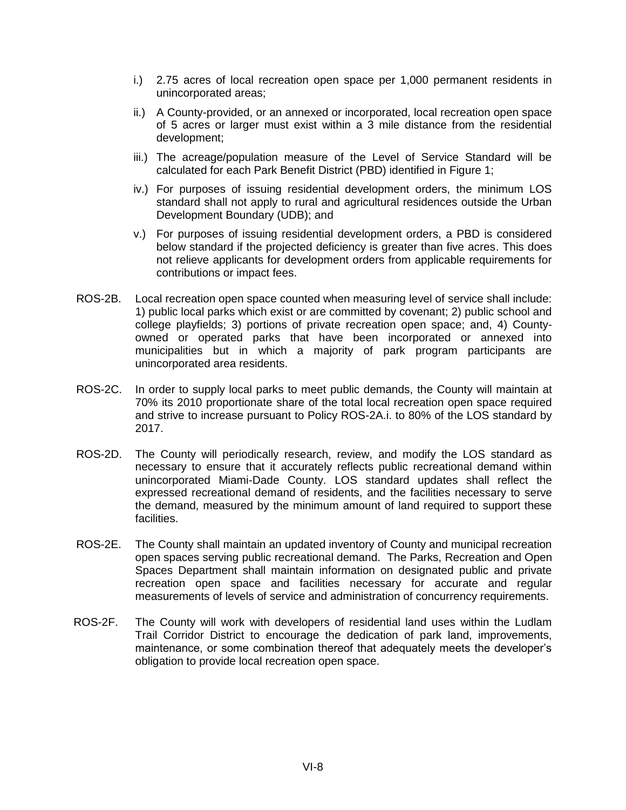- i.) 2.75 acres of local recreation open space per 1,000 permanent residents in unincorporated areas;
- ii.) A County-provided, or an annexed or incorporated, local recreation open space of 5 acres or larger must exist within a 3 mile distance from the residential development;
- iii.) The acreage/population measure of the Level of Service Standard will be calculated for each Park Benefit District (PBD) identified in Figure 1;
- iv.) For purposes of issuing residential development orders, the minimum LOS standard shall not apply to rural and agricultural residences outside the Urban Development Boundary (UDB); and
- v.) For purposes of issuing residential development orders, a PBD is considered below standard if the projected deficiency is greater than five acres. This does not relieve applicants for development orders from applicable requirements for contributions or impact fees.
- ROS-2B. Local recreation open space counted when measuring level of service shall include: 1) public local parks which exist or are committed by covenant; 2) public school and college playfields; 3) portions of private recreation open space; and, 4) Countyowned or operated parks that have been incorporated or annexed into municipalities but in which a majority of park program participants are unincorporated area residents.
- ROS-2C. In order to supply local parks to meet public demands, the County will maintain at 70% its 2010 proportionate share of the total local recreation open space required and strive to increase pursuant to Policy ROS-2A.i. to 80% of the LOS standard by 2017.
- ROS-2D. The County will periodically research, review, and modify the LOS standard as necessary to ensure that it accurately reflects public recreational demand within unincorporated Miami-Dade County. LOS standard updates shall reflect the expressed recreational demand of residents, and the facilities necessary to serve the demand, measured by the minimum amount of land required to support these facilities.
- ROS-2E. The County shall maintain an updated inventory of County and municipal recreation open spaces serving public recreational demand. The Parks, Recreation and Open Spaces Department shall maintain information on designated public and private recreation open space and facilities necessary for accurate and regular measurements of levels of service and administration of concurrency requirements.
- ROS-2F. The County will work with developers of residential land uses within the Ludlam Trail Corridor District to encourage the dedication of park land, improvements, maintenance, or some combination thereof that adequately meets the developer's obligation to provide local recreation open space.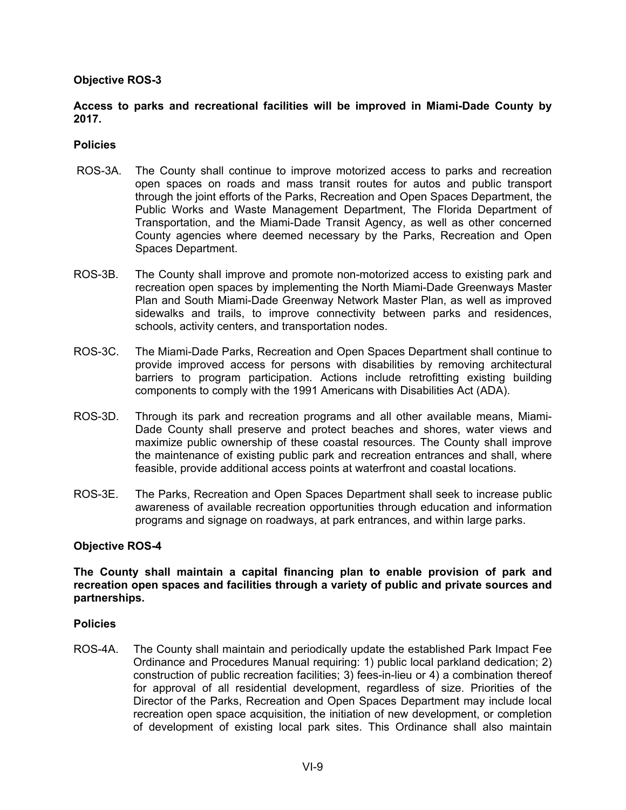# **Access to parks and recreational facilities will be improved in Miami-Dade County by 2017.**

#### **Policies**

- ROS-3A. The County shall continue to improve motorized access to parks and recreation open spaces on roads and mass transit routes for autos and public transport through the joint efforts of the Parks, Recreation and Open Spaces Department, the Public Works and Waste Management Department, The Florida Department of Transportation, and the Miami-Dade Transit Agency, as well as other concerned County agencies where deemed necessary by the Parks, Recreation and Open Spaces Department.
- ROS-3B. The County shall improve and promote non-motorized access to existing park and recreation open spaces by implementing the North Miami-Dade Greenways Master Plan and South Miami-Dade Greenway Network Master Plan, as well as improved sidewalks and trails, to improve connectivity between parks and residences, schools, activity centers, and transportation nodes.
- ROS-3C. The Miami-Dade Parks, Recreation and Open Spaces Department shall continue to provide improved access for persons with disabilities by removing architectural barriers to program participation. Actions include retrofitting existing building components to comply with the 1991 Americans with Disabilities Act (ADA).
- ROS-3D.Through its park and recreation programs and all other available means, Miami-Dade County shall preserve and protect beaches and shores, water views and maximize public ownership of these coastal resources. The County shall improve the maintenance of existing public park and recreation entrances and shall, where feasible, provide additional access points at waterfront and coastal locations.
- ROS-3E.The Parks, Recreation and Open Spaces Department shall seek to increase public awareness of available recreation opportunities through education and information programs and signage on roadways, at park entrances, and within large parks.

#### **Objective ROS-4**

#### **The County shall maintain a capital financing plan to enable provision of park and recreation open spaces and facilities through a variety of public and private sources and partnerships.**

#### **Policies**

ROS-4A. The County shall maintain and periodically update the established Park Impact Fee Ordinance and Procedures Manual requiring: 1) public local parkland dedication; 2) construction of public recreation facilities; 3) fees-in-lieu or 4) a combination thereof for approval of all residential development, regardless of size. Priorities of the Director of the Parks, Recreation and Open Spaces Department may include local recreation open space acquisition, the initiation of new development, or completion of development of existing local park sites. This Ordinance shall also maintain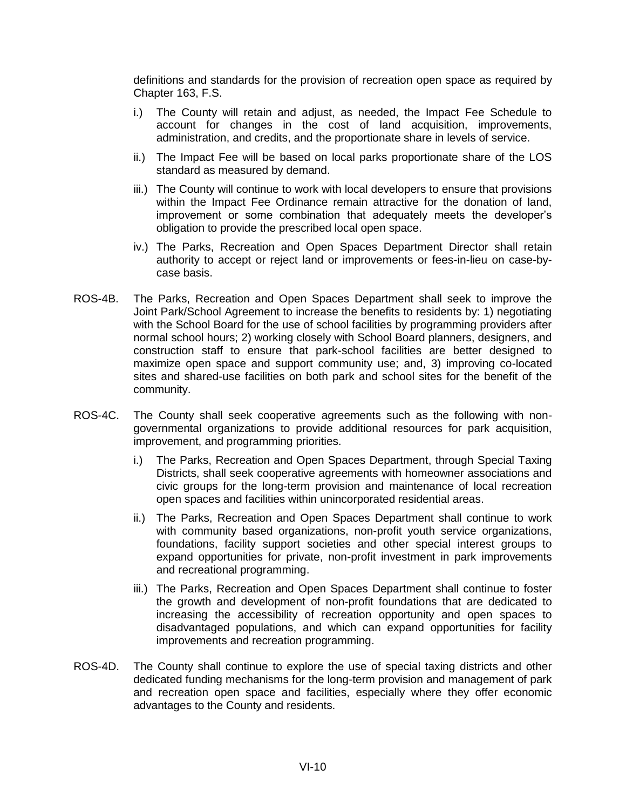definitions and standards for the provision of recreation open space as required by Chapter 163, F.S.

- i.) The County will retain and adjust, as needed, the Impact Fee Schedule to account for changes in the cost of land acquisition, improvements, administration, and credits, and the proportionate share in levels of service.
- ii.) The Impact Fee will be based on local parks proportionate share of the LOS standard as measured by demand.
- iii.) The County will continue to work with local developers to ensure that provisions within the Impact Fee Ordinance remain attractive for the donation of land, improvement or some combination that adequately meets the developer's obligation to provide the prescribed local open space.
- iv.) The Parks, Recreation and Open Spaces Department Director shall retain authority to accept or reject land or improvements or fees-in-lieu on case-bycase basis.
- ROS-4B. The Parks, Recreation and Open Spaces Department shall seek to improve the Joint Park/School Agreement to increase the benefits to residents by: 1) negotiating with the School Board for the use of school facilities by programming providers after normal school hours; 2) working closely with School Board planners, designers, and construction staff to ensure that park-school facilities are better designed to maximize open space and support community use; and, 3) improving co-located sites and shared-use facilities on both park and school sites for the benefit of the community.
- ROS-4C. The County shall seek cooperative agreements such as the following with nongovernmental organizations to provide additional resources for park acquisition, improvement, and programming priorities.
	- i.) The Parks, Recreation and Open Spaces Department, through Special Taxing Districts, shall seek cooperative agreements with homeowner associations and civic groups for the long-term provision and maintenance of local recreation open spaces and facilities within unincorporated residential areas.
	- ii.) The Parks, Recreation and Open Spaces Department shall continue to work with community based organizations, non-profit youth service organizations, foundations, facility support societies and other special interest groups to expand opportunities for private, non-profit investment in park improvements and recreational programming.
	- iii.) The Parks, Recreation and Open Spaces Department shall continue to foster the growth and development of non-profit foundations that are dedicated to increasing the accessibility of recreation opportunity and open spaces to disadvantaged populations, and which can expand opportunities for facility improvements and recreation programming.
- ROS-4D. The County shall continue to explore the use of special taxing districts and other dedicated funding mechanisms for the long-term provision and management of park and recreation open space and facilities, especially where they offer economic advantages to the County and residents.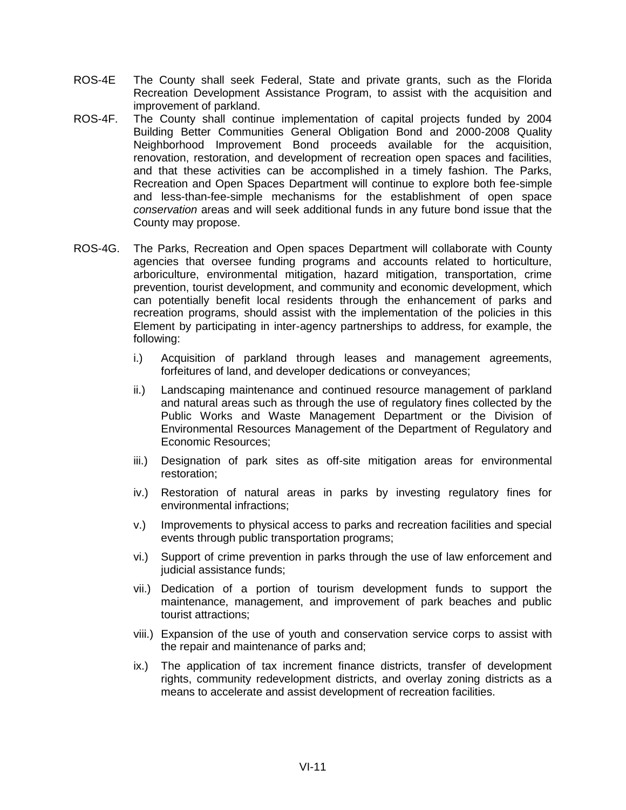- ROS-4E The County shall seek Federal, State and private grants, such as the Florida Recreation Development Assistance Program, to assist with the acquisition and improvement of parkland.
- ROS-4F. The County shall continue implementation of capital projects funded by 2004 Building Better Communities General Obligation Bond and 2000-2008 Quality Neighborhood Improvement Bond proceeds available for the acquisition, renovation, restoration, and development of recreation open spaces and facilities, and that these activities can be accomplished in a timely fashion. The Parks, Recreation and Open Spaces Department will continue to explore both fee-simple and less-than-fee-simple mechanisms for the establishment of open space *conservation* areas and will seek additional funds in any future bond issue that the County may propose.
- ROS-4G. The Parks, Recreation and Open spaces Department will collaborate with County agencies that oversee funding programs and accounts related to horticulture, arboriculture, environmental mitigation, hazard mitigation, transportation, crime prevention, tourist development, and community and economic development, which can potentially benefit local residents through the enhancement of parks and recreation programs, should assist with the implementation of the policies in this Element by participating in inter-agency partnerships to address, for example, the following:
	- i.) Acquisition of parkland through leases and management agreements, forfeitures of land, and developer dedications or conveyances;
	- ii.) Landscaping maintenance and continued resource management of parkland and natural areas such as through the use of regulatory fines collected by the Public Works and Waste Management Department or the Division of Environmental Resources Management of the Department of Regulatory and Economic Resources;
	- iii.) Designation of park sites as off-site mitigation areas for environmental restoration;
	- iv.) Restoration of natural areas in parks by investing regulatory fines for environmental infractions;
	- v.) Improvements to physical access to parks and recreation facilities and special events through public transportation programs;
	- vi.) Support of crime prevention in parks through the use of law enforcement and judicial assistance funds:
	- vii.) Dedication of a portion of tourism development funds to support the maintenance, management, and improvement of park beaches and public tourist attractions;
	- viii.) Expansion of the use of youth and conservation service corps to assist with the repair and maintenance of parks and;
	- ix.) The application of tax increment finance districts, transfer of development rights, community redevelopment districts, and overlay zoning districts as a means to accelerate and assist development of recreation facilities.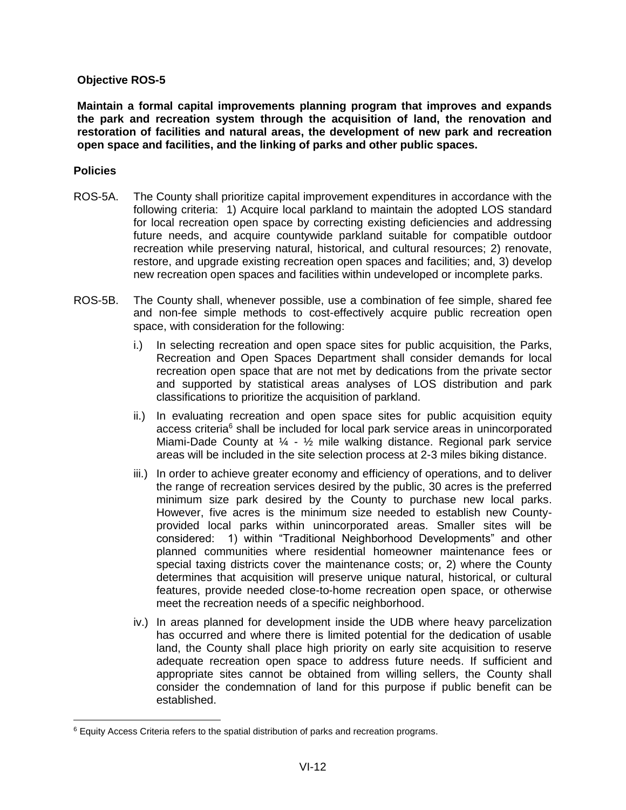**Maintain a formal capital improvements planning program that improves and expands the park and recreation system through the acquisition of land, the renovation and restoration of facilities and natural areas, the development of new park and recreation open space and facilities, and the linking of parks and other public spaces.**

#### **Policies**

- ROS-5A. The County shall prioritize capital improvement expenditures in accordance with the following criteria: 1) Acquire local parkland to maintain the adopted LOS standard for local recreation open space by correcting existing deficiencies and addressing future needs, and acquire countywide parkland suitable for compatible outdoor recreation while preserving natural, historical, and cultural resources; 2) renovate, restore, and upgrade existing recreation open spaces and facilities; and, 3) develop new recreation open spaces and facilities within undeveloped or incomplete parks.
- ROS-5B. The County shall, whenever possible, use a combination of fee simple, shared fee and non-fee simple methods to cost-effectively acquire public recreation open space, with consideration for the following:
	- i.) In selecting recreation and open space sites for public acquisition, the Parks, Recreation and Open Spaces Department shall consider demands for local recreation open space that are not met by dedications from the private sector and supported by statistical areas analyses of LOS distribution and park classifications to prioritize the acquisition of parkland.
	- ii.) In evaluating recreation and open space sites for public acquisition equity access criteria<sup>6</sup> shall be included for local park service areas in unincorporated Miami-Dade County at  $\frac{1}{4}$  -  $\frac{1}{2}$  mile walking distance. Regional park service areas will be included in the site selection process at 2-3 miles biking distance.
	- iii.) In order to achieve greater economy and efficiency of operations, and to deliver the range of recreation services desired by the public, 30 acres is the preferred minimum size park desired by the County to purchase new local parks. However, five acres is the minimum size needed to establish new Countyprovided local parks within unincorporated areas. Smaller sites will be considered: 1) within "Traditional Neighborhood Developments" and other planned communities where residential homeowner maintenance fees or special taxing districts cover the maintenance costs; or, 2) where the County determines that acquisition will preserve unique natural, historical, or cultural features, provide needed close-to-home recreation open space, or otherwise meet the recreation needs of a specific neighborhood.
	- iv.) In areas planned for development inside the UDB where heavy parcelization has occurred and where there is limited potential for the dedication of usable land, the County shall place high priority on early site acquisition to reserve adequate recreation open space to address future needs. If sufficient and appropriate sites cannot be obtained from willing sellers, the County shall consider the condemnation of land for this purpose if public benefit can be established.

<sup>6</sup> Equity Access Criteria refers to the spatial distribution of parks and recreation programs.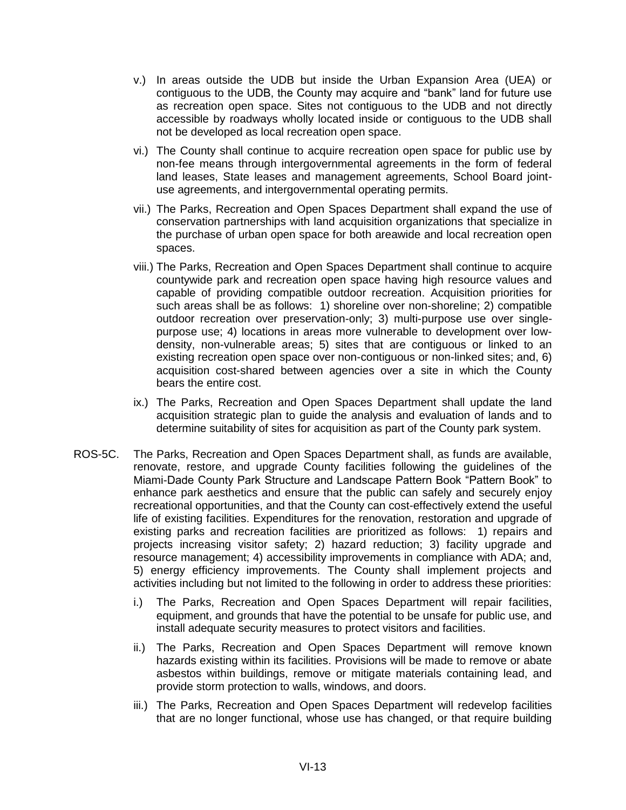- v.) In areas outside the UDB but inside the Urban Expansion Area (UEA) or contiguous to the UDB, the County may acquire and "bank" land for future use as recreation open space. Sites not contiguous to the UDB and not directly accessible by roadways wholly located inside or contiguous to the UDB shall not be developed as local recreation open space.
- vi.) The County shall continue to acquire recreation open space for public use by non-fee means through intergovernmental agreements in the form of federal land leases, State leases and management agreements, School Board jointuse agreements, and intergovernmental operating permits.
- vii.) The Parks, Recreation and Open Spaces Department shall expand the use of conservation partnerships with land acquisition organizations that specialize in the purchase of urban open space for both areawide and local recreation open spaces.
- viii.) The Parks, Recreation and Open Spaces Department shall continue to acquire countywide park and recreation open space having high resource values and capable of providing compatible outdoor recreation. Acquisition priorities for such areas shall be as follows: 1) shoreline over non-shoreline; 2) compatible outdoor recreation over preservation-only; 3) multi-purpose use over singlepurpose use; 4) locations in areas more vulnerable to development over lowdensity, non-vulnerable areas; 5) sites that are contiguous or linked to an existing recreation open space over non-contiguous or non-linked sites; and, 6) acquisition cost-shared between agencies over a site in which the County bears the entire cost.
- ix.) The Parks, Recreation and Open Spaces Department shall update the land acquisition strategic plan to guide the analysis and evaluation of lands and to determine suitability of sites for acquisition as part of the County park system.
- ROS-5C. The Parks, Recreation and Open Spaces Department shall, as funds are available, renovate, restore, and upgrade County facilities following the guidelines of the Miami-Dade County Park Structure and Landscape Pattern Book "Pattern Book" to enhance park aesthetics and ensure that the public can safely and securely enjoy recreational opportunities, and that the County can cost-effectively extend the useful life of existing facilities. Expenditures for the renovation, restoration and upgrade of existing parks and recreation facilities are prioritized as follows: 1) repairs and projects increasing visitor safety; 2) hazard reduction; 3) facility upgrade and resource management; 4) accessibility improvements in compliance with ADA; and, 5) energy efficiency improvements. The County shall implement projects and activities including but not limited to the following in order to address these priorities:
	- i.) The Parks, Recreation and Open Spaces Department will repair facilities, equipment, and grounds that have the potential to be unsafe for public use, and install adequate security measures to protect visitors and facilities.
	- ii.) The Parks, Recreation and Open Spaces Department will remove known hazards existing within its facilities. Provisions will be made to remove or abate asbestos within buildings, remove or mitigate materials containing lead, and provide storm protection to walls, windows, and doors.
	- iii.) The Parks, Recreation and Open Spaces Department will redevelop facilities that are no longer functional, whose use has changed, or that require building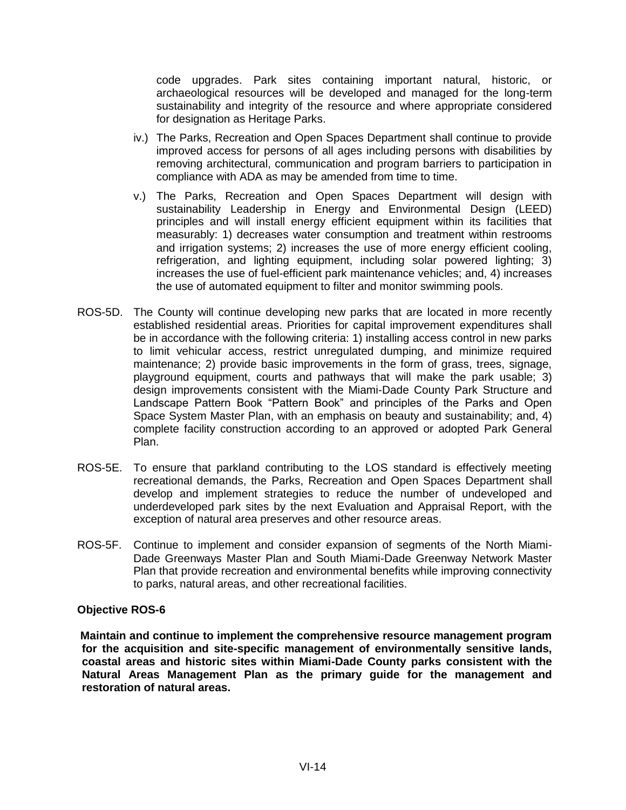code upgrades. Park sites containing important natural, historic, or archaeological resources will be developed and managed for the long-term sustainability and integrity of the resource and where appropriate considered for designation as Heritage Parks.

- iv.) The Parks, Recreation and Open Spaces Department shall continue to provide improved access for persons of all ages including persons with disabilities by removing architectural, communication and program barriers to participation in compliance with ADA as may be amended from time to time.
- v.) The Parks, Recreation and Open Spaces Department will design with sustainability Leadership in Energy and Environmental Design (LEED) principles and will install energy efficient equipment within its facilities that measurably: 1) decreases water consumption and treatment within restrooms and irrigation systems; 2) increases the use of more energy efficient cooling, refrigeration, and lighting equipment, including solar powered lighting; 3) increases the use of fuel-efficient park maintenance vehicles; and, 4) increases the use of automated equipment to filter and monitor swimming pools.
- ROS-5D. The County will continue developing new parks that are located in more recently established residential areas. Priorities for capital improvement expenditures shall be in accordance with the following criteria: 1) installing access control in new parks to limit vehicular access, restrict unregulated dumping, and minimize required maintenance; 2) provide basic improvements in the form of grass, trees, signage, playground equipment, courts and pathways that will make the park usable; 3) design improvements consistent with the Miami-Dade County Park Structure and Landscape Pattern Book "Pattern Book" and principles of the Parks and Open Space System Master Plan, with an emphasis on beauty and sustainability; and, 4) complete facility construction according to an approved or adopted Park General Plan.
- ROS-5E. To ensure that parkland contributing to the LOS standard is effectively meeting recreational demands, the Parks, Recreation and Open Spaces Department shall develop and implement strategies to reduce the number of undeveloped and underdeveloped park sites by the next Evaluation and Appraisal Report, with the exception of natural area preserves and other resource areas.
- ROS-5F. Continue to implement and consider expansion of segments of the North Miami-Dade Greenways Master Plan and South Miami-Dade Greenway Network Master Plan that provide recreation and environmental benefits while improving connectivity to parks, natural areas, and other recreational facilities.

#### **Objective ROS-6**

**Maintain and continue to implement the comprehensive resource management program for the acquisition and site-specific management of environmentally sensitive lands, coastal areas and historic sites within Miami-Dade County parks consistent with the Natural Areas Management Plan as the primary guide for the management and restoration of natural areas.**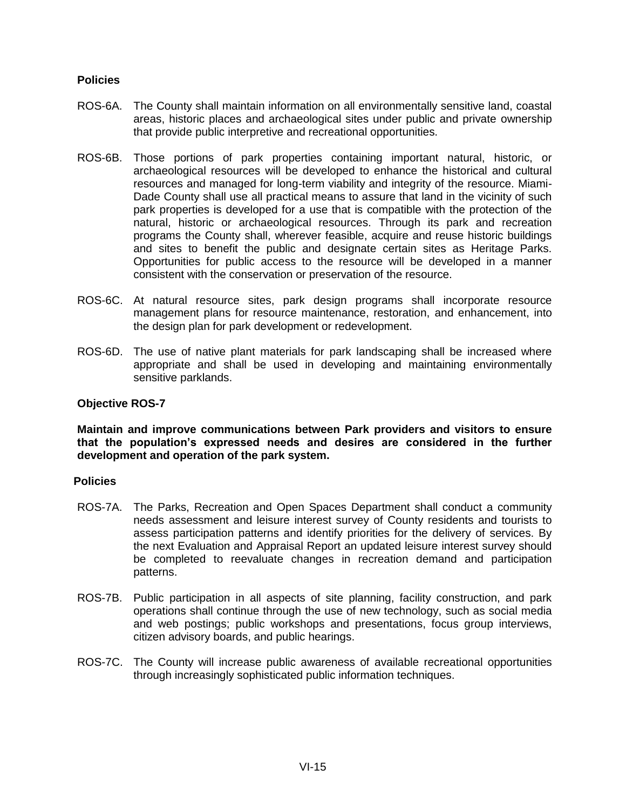# **Policies**

- ROS-6A. The County shall maintain information on all environmentally sensitive land, coastal areas, historic places and archaeological sites under public and private ownership that provide public interpretive and recreational opportunities.
- ROS-6B. Those portions of park properties containing important natural, historic, or archaeological resources will be developed to enhance the historical and cultural resources and managed for long-term viability and integrity of the resource. Miami-Dade County shall use all practical means to assure that land in the vicinity of such park properties is developed for a use that is compatible with the protection of the natural, historic or archaeological resources. Through its park and recreation programs the County shall, wherever feasible, acquire and reuse historic buildings and sites to benefit the public and designate certain sites as Heritage Parks. Opportunities for public access to the resource will be developed in a manner consistent with the conservation or preservation of the resource.
- ROS-6C. At natural resource sites, park design programs shall incorporate resource management plans for resource maintenance, restoration, and enhancement, into the design plan for park development or redevelopment.
- ROS-6D. The use of native plant materials for park landscaping shall be increased where appropriate and shall be used in developing and maintaining environmentally sensitive parklands.

#### **Objective ROS-7**

**Maintain and improve communications between Park providers and visitors to ensure that the population's expressed needs and desires are considered in the further development and operation of the park system.**

#### **Policies**

- ROS-7A. The Parks, Recreation and Open Spaces Department shall conduct a community needs assessment and leisure interest survey of County residents and tourists to assess participation patterns and identify priorities for the delivery of services. By the next Evaluation and Appraisal Report an updated leisure interest survey should be completed to reevaluate changes in recreation demand and participation patterns.
- ROS-7B. Public participation in all aspects of site planning, facility construction, and park operations shall continue through the use of new technology, such as social media and web postings; public workshops and presentations, focus group interviews, citizen advisory boards, and public hearings.
- ROS-7C. The County will increase public awareness of available recreational opportunities through increasingly sophisticated public information techniques.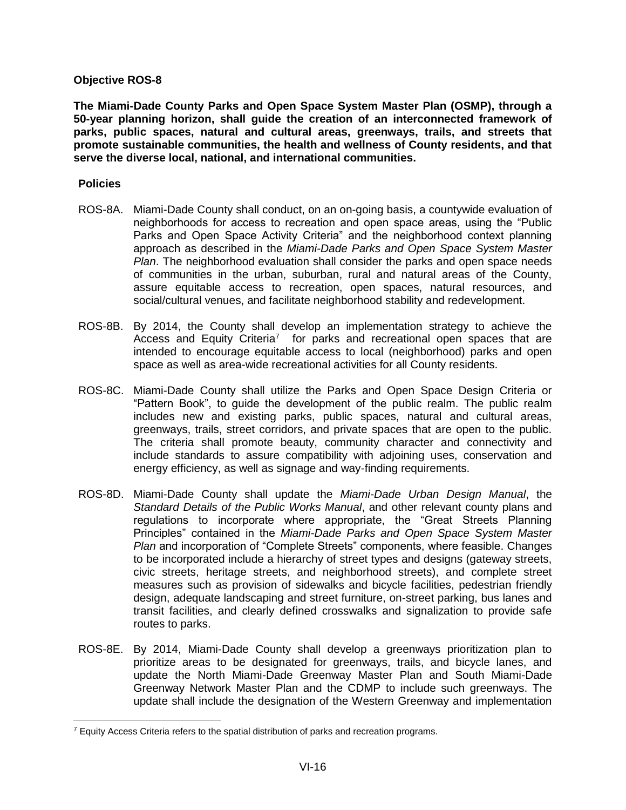**The Miami-Dade County Parks and Open Space System Master Plan (OSMP), through a 50-year planning horizon, shall guide the creation of an interconnected framework of parks, public spaces, natural and cultural areas, greenways, trails, and streets that promote sustainable communities, the health and wellness of County residents, and that serve the diverse local, national, and international communities.**

#### **Policies**

- ROS-8A. Miami-Dade County shall conduct, on an on-going basis, a countywide evaluation of neighborhoods for access to recreation and open space areas, using the "Public Parks and Open Space Activity Criteria" and the neighborhood context planning approach as described in the *Miami-Dade Parks and Open Space System Master Plan*. The neighborhood evaluation shall consider the parks and open space needs of communities in the urban, suburban, rural and natural areas of the County, assure equitable access to recreation, open spaces, natural resources, and social/cultural venues, and facilitate neighborhood stability and redevelopment.
- ROS-8B. By 2014, the County shall develop an implementation strategy to achieve the Access and Equity Criteria<sup>7</sup> for parks and recreational open spaces that are intended to encourage equitable access to local (neighborhood) parks and open space as well as area-wide recreational activities for all County residents.
- ROS-8C. Miami-Dade County shall utilize the Parks and Open Space Design Criteria or "Pattern Book", to guide the development of the public realm. The public realm includes new and existing parks, public spaces, natural and cultural areas, greenways, trails, street corridors, and private spaces that are open to the public. The criteria shall promote beauty, community character and connectivity and include standards to assure compatibility with adjoining uses, conservation and energy efficiency, as well as signage and way-finding requirements.
- ROS-8D. Miami-Dade County shall update the *Miami-Dade Urban Design Manual*, the *Standard Details of the Public Works Manual*, and other relevant county plans and regulations to incorporate where appropriate, the "Great Streets Planning Principles" contained in the *Miami-Dade Parks and Open Space System Master Plan* and incorporation of "Complete Streets" components, where feasible. Changes to be incorporated include a hierarchy of street types and designs (gateway streets, civic streets, heritage streets, and neighborhood streets), and complete street measures such as provision of sidewalks and bicycle facilities, pedestrian friendly design, adequate landscaping and street furniture, on-street parking, bus lanes and transit facilities, and clearly defined crosswalks and signalization to provide safe routes to parks.
- ROS-8E. By 2014, Miami-Dade County shall develop a greenways prioritization plan to prioritize areas to be designated for greenways, trails, and bicycle lanes, and update the North Miami-Dade Greenway Master Plan and South Miami-Dade Greenway Network Master Plan and the CDMP to include such greenways. The update shall include the designation of the Western Greenway and implementation

 $7$  Equity Access Criteria refers to the spatial distribution of parks and recreation programs.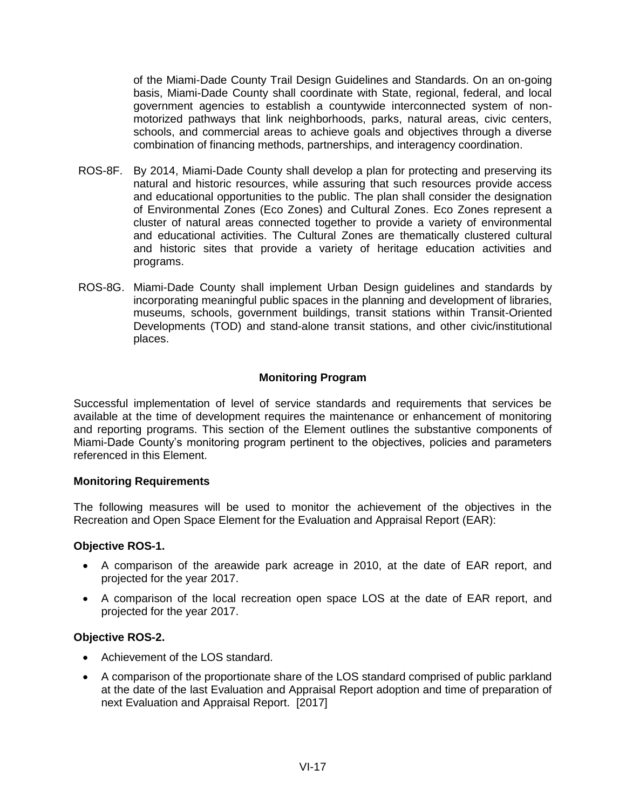of the Miami-Dade County Trail Design Guidelines and Standards. On an on-going basis, Miami-Dade County shall coordinate with State, regional, federal, and local government agencies to establish a countywide interconnected system of nonmotorized pathways that link neighborhoods, parks, natural areas, civic centers, schools, and commercial areas to achieve goals and objectives through a diverse combination of financing methods, partnerships, and interagency coordination.

- ROS-8F. By 2014, Miami-Dade County shall develop a plan for protecting and preserving its natural and historic resources, while assuring that such resources provide access and educational opportunities to the public. The plan shall consider the designation of Environmental Zones (Eco Zones) and Cultural Zones. Eco Zones represent a cluster of natural areas connected together to provide a variety of environmental and educational activities. The Cultural Zones are thematically clustered cultural and historic sites that provide a variety of heritage education activities and programs.
- ROS-8G. Miami-Dade County shall implement Urban Design guidelines and standards by incorporating meaningful public spaces in the planning and development of libraries, museums, schools, government buildings, transit stations within Transit-Oriented Developments (TOD) and stand-alone transit stations, and other civic/institutional places.

# **Monitoring Program**

Successful implementation of level of service standards and requirements that services be available at the time of development requires the maintenance or enhancement of monitoring and reporting programs. This section of the Element outlines the substantive components of Miami-Dade County's monitoring program pertinent to the objectives, policies and parameters referenced in this Element.

# **Monitoring Requirements**

The following measures will be used to monitor the achievement of the objectives in the Recreation and Open Space Element for the Evaluation and Appraisal Report (EAR):

#### **Objective ROS-1.**

- A comparison of the areawide park acreage in 2010, at the date of EAR report, and projected for the year 2017.
- A comparison of the local recreation open space LOS at the date of EAR report, and projected for the year 2017.

#### **Objective ROS-2.**

- Achievement of the LOS standard.
- A comparison of the proportionate share of the LOS standard comprised of public parkland at the date of the last Evaluation and Appraisal Report adoption and time of preparation of next Evaluation and Appraisal Report. [2017]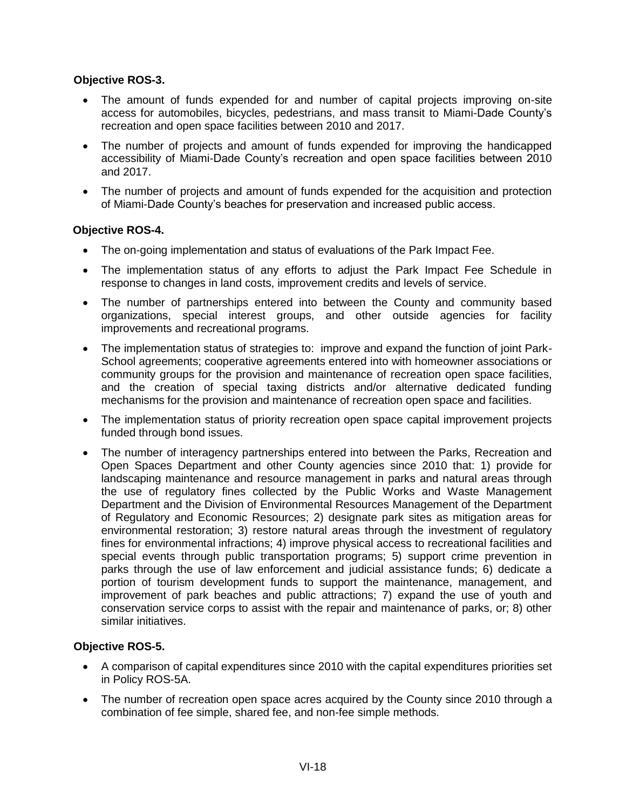- The amount of funds expended for and number of capital projects improving on-site access for automobiles, bicycles, pedestrians, and mass transit to Miami-Dade County's recreation and open space facilities between 2010 and 2017.
- The number of projects and amount of funds expended for improving the handicapped accessibility of Miami-Dade County's recreation and open space facilities between 2010 and 2017.
- The number of projects and amount of funds expended for the acquisition and protection of Miami-Dade County's beaches for preservation and increased public access.

# **Objective ROS-4.**

- The on-going implementation and status of evaluations of the Park Impact Fee.
- The implementation status of any efforts to adjust the Park Impact Fee Schedule in response to changes in land costs, improvement credits and levels of service.
- The number of partnerships entered into between the County and community based organizations, special interest groups, and other outside agencies for facility improvements and recreational programs.
- The implementation status of strategies to: improve and expand the function of joint Park-School agreements; cooperative agreements entered into with homeowner associations or community groups for the provision and maintenance of recreation open space facilities, and the creation of special taxing districts and/or alternative dedicated funding mechanisms for the provision and maintenance of recreation open space and facilities.
- The implementation status of priority recreation open space capital improvement projects funded through bond issues.
- The number of interagency partnerships entered into between the Parks, Recreation and Open Spaces Department and other County agencies since 2010 that: 1) provide for landscaping maintenance and resource management in parks and natural areas through the use of regulatory fines collected by the Public Works and Waste Management Department and the Division of Environmental Resources Management of the Department of Regulatory and Economic Resources; 2) designate park sites as mitigation areas for environmental restoration; 3) restore natural areas through the investment of regulatory fines for environmental infractions; 4) improve physical access to recreational facilities and special events through public transportation programs; 5) support crime prevention in parks through the use of law enforcement and judicial assistance funds; 6) dedicate a portion of tourism development funds to support the maintenance, management, and improvement of park beaches and public attractions; 7) expand the use of youth and conservation service corps to assist with the repair and maintenance of parks, or; 8) other similar initiatives.

# **Objective ROS-5.**

- A comparison of capital expenditures since 2010 with the capital expenditures priorities set in Policy ROS-5A.
- The number of recreation open space acres acquired by the County since 2010 through a combination of fee simple, shared fee, and non-fee simple methods.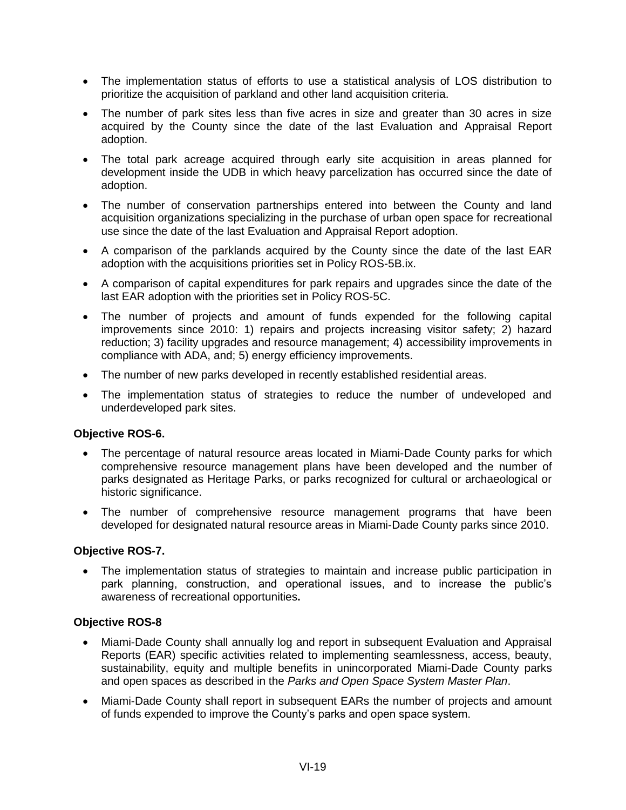- The implementation status of efforts to use a statistical analysis of LOS distribution to prioritize the acquisition of parkland and other land acquisition criteria.
- The number of park sites less than five acres in size and greater than 30 acres in size acquired by the County since the date of the last Evaluation and Appraisal Report adoption.
- The total park acreage acquired through early site acquisition in areas planned for development inside the UDB in which heavy parcelization has occurred since the date of adoption.
- The number of conservation partnerships entered into between the County and land acquisition organizations specializing in the purchase of urban open space for recreational use since the date of the last Evaluation and Appraisal Report adoption.
- A comparison of the parklands acquired by the County since the date of the last EAR adoption with the acquisitions priorities set in Policy ROS-5B.ix.
- A comparison of capital expenditures for park repairs and upgrades since the date of the last EAR adoption with the priorities set in Policy ROS-5C.
- The number of projects and amount of funds expended for the following capital improvements since 2010: 1) repairs and projects increasing visitor safety; 2) hazard reduction; 3) facility upgrades and resource management; 4) accessibility improvements in compliance with ADA, and; 5) energy efficiency improvements.
- The number of new parks developed in recently established residential areas.
- The implementation status of strategies to reduce the number of undeveloped and underdeveloped park sites.

- The percentage of natural resource areas located in Miami-Dade County parks for which comprehensive resource management plans have been developed and the number of parks designated as Heritage Parks, or parks recognized for cultural or archaeological or historic significance.
- The number of comprehensive resource management programs that have been developed for designated natural resource areas in Miami-Dade County parks since 2010.

#### **Objective ROS-7.**

 The implementation status of strategies to maintain and increase public participation in park planning, construction, and operational issues, and to increase the public's awareness of recreational opportunities**.**

# **Objective ROS-8**

- Miami-Dade County shall annually log and report in subsequent Evaluation and Appraisal Reports (EAR) specific activities related to implementing seamlessness, access, beauty, sustainability, equity and multiple benefits in unincorporated Miami-Dade County parks and open spaces as described in the *Parks and Open Space System Master Plan*.
- Miami-Dade County shall report in subsequent EARs the number of projects and amount of funds expended to improve the County's parks and open space system.